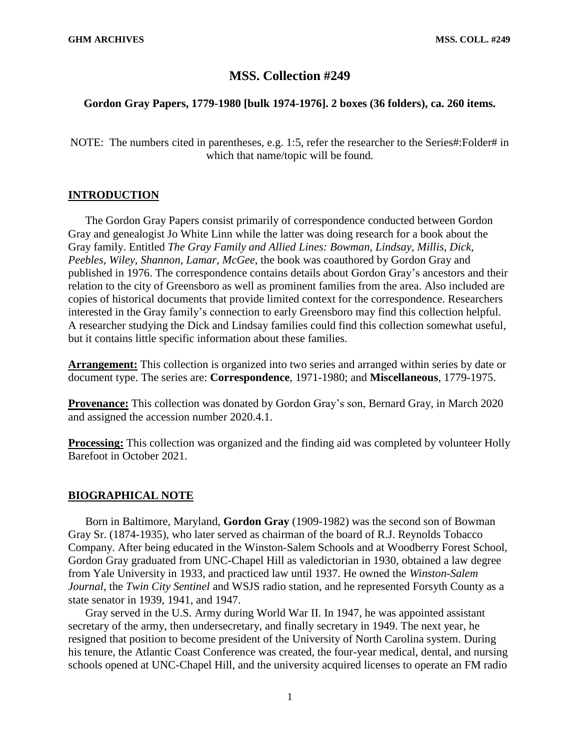# **MSS. Collection #249**

#### **Gordon Gray Papers, 1779-1980 [bulk 1974-1976]. 2 boxes (36 folders), ca. 260 items.**

NOTE: The numbers cited in parentheses, e.g. 1:5, refer the researcher to the Series#:Folder# in which that name/topic will be found.

#### **INTRODUCTION**

The Gordon Gray Papers consist primarily of correspondence conducted between Gordon Gray and genealogist Jo White Linn while the latter was doing research for a book about the Gray family. Entitled *The Gray Family and Allied Lines: Bowman, Lindsay, Millis, Dick, Peebles, Wiley, Shannon, Lamar, McGee*, the book was coauthored by Gordon Gray and published in 1976. The correspondence contains details about Gordon Gray's ancestors and their relation to the city of Greensboro as well as prominent families from the area. Also included are copies of historical documents that provide limited context for the correspondence. Researchers interested in the Gray family's connection to early Greensboro may find this collection helpful. A researcher studying the Dick and Lindsay families could find this collection somewhat useful, but it contains little specific information about these families.

**Arrangement:** This collection is organized into two series and arranged within series by date or document type. The series are: **Correspondence**, 1971-1980; and **Miscellaneous**, 1779-1975.

**Provenance:** This collection was donated by Gordon Gray's son, Bernard Gray, in March 2020 and assigned the accession number 2020.4.1.

**Processing:** This collection was organized and the finding aid was completed by volunteer Holly Barefoot in October 2021.

## **BIOGRAPHICAL NOTE**

Born in Baltimore, Maryland, **Gordon Gray** (1909-1982) was the second son of Bowman Gray Sr. (1874-1935), who later served as chairman of the board of R.J. Reynolds Tobacco Company. After being educated in the Winston-Salem Schools and at Woodberry Forest School, Gordon Gray graduated from UNC-Chapel Hill as valedictorian in 1930, obtained a law degree from Yale University in 1933, and practiced law until 1937. He owned the *Winston-Salem Journal*, the *Twin City Sentinel* and WSJS radio station, and he represented Forsyth County as a state senator in 1939, 1941, and 1947.

Gray served in the U.S. Army during World War II. In 1947, he was appointed assistant secretary of the army, then undersecretary, and finally secretary in 1949. The next year, he resigned that position to become president of the University of North Carolina system. During his tenure, the Atlantic Coast Conference was created, the four-year medical, dental, and nursing schools opened at UNC-Chapel Hill, and the university acquired licenses to operate an FM radio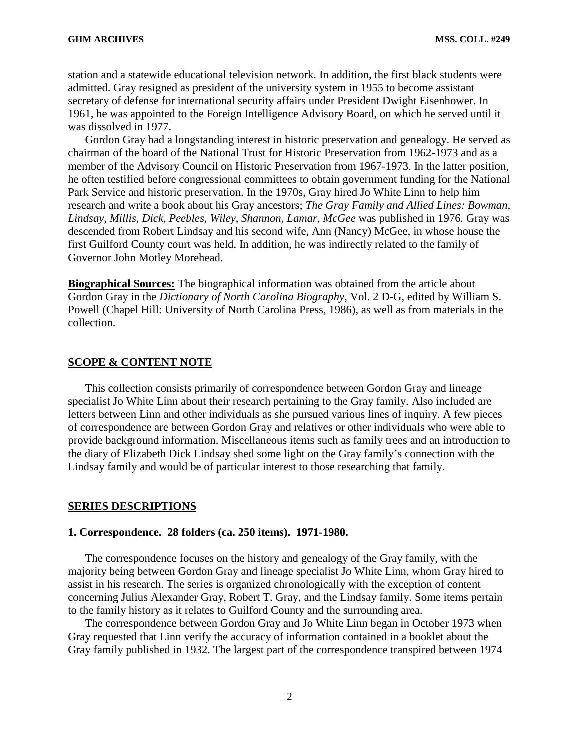station and a statewide educational television network. In addition, the first black students were admitted. Gray resigned as president of the university system in 1955 to become assistant secretary of defense for international security affairs under President Dwight Eisenhower. In 1961, he was appointed to the Foreign Intelligence Advisory Board, on which he served until it was dissolved in 1977.

Gordon Gray had a longstanding interest in historic preservation and genealogy. He served as chairman of the board of the National Trust for Historic Preservation from 1962-1973 and as a member of the Advisory Council on Historic Preservation from 1967-1973. In the latter position, he often testified before congressional committees to obtain government funding for the National Park Service and historic preservation. In the 1970s, Gray hired Jo White Linn to help him research and write a book about his Gray ancestors; *The Gray Family and Allied Lines: Bowman, Lindsay, Millis, Dick, Peebles, Wiley, Shannon, Lamar, McGee* was published in 1976*.* Gray was descended from Robert Lindsay and his second wife, Ann (Nancy) McGee, in whose house the first Guilford County court was held. In addition, he was indirectly related to the family of Governor John Motley Morehead.

**Biographical Sources:** The biographical information was obtained from the article about Gordon Gray in the *Dictionary of North Carolina Biography*, Vol. 2 D-G, edited by William S. Powell (Chapel Hill: University of North Carolina Press, 1986), as well as from materials in the collection.

#### **SCOPE & CONTENT NOTE**

This collection consists primarily of correspondence between Gordon Gray and lineage specialist Jo White Linn about their research pertaining to the Gray family. Also included are letters between Linn and other individuals as she pursued various lines of inquiry. A few pieces of correspondence are between Gordon Gray and relatives or other individuals who were able to provide background information. Miscellaneous items such as family trees and an introduction to the diary of Elizabeth Dick Lindsay shed some light on the Gray family's connection with the Lindsay family and would be of particular interest to those researching that family.

#### **SERIES DESCRIPTIONS**

#### **1. Correspondence. 28 folders (ca. 250 items). 1971-1980.**

The correspondence focuses on the history and genealogy of the Gray family, with the majority being between Gordon Gray and lineage specialist Jo White Linn, whom Gray hired to assist in his research. The series is organized chronologically with the exception of content concerning Julius Alexander Gray, Robert T. Gray, and the Lindsay family. Some items pertain to the family history as it relates to Guilford County and the surrounding area.

The correspondence between Gordon Gray and Jo White Linn began in October 1973 when Gray requested that Linn verify the accuracy of information contained in a booklet about the Gray family published in 1932. The largest part of the correspondence transpired between 1974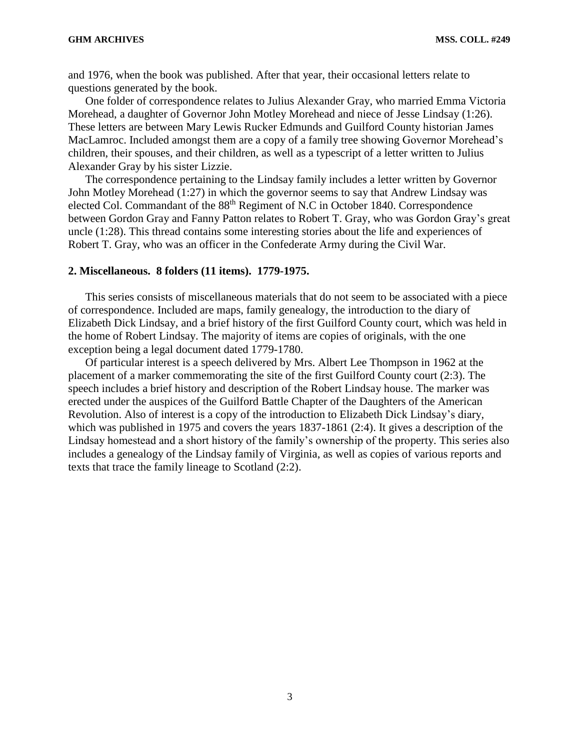and 1976, when the book was published. After that year, their occasional letters relate to questions generated by the book.

One folder of correspondence relates to Julius Alexander Gray, who married Emma Victoria Morehead, a daughter of Governor John Motley Morehead and niece of Jesse Lindsay (1:26). These letters are between Mary Lewis Rucker Edmunds and Guilford County historian James MacLamroc. Included amongst them are a copy of a family tree showing Governor Morehead's children, their spouses, and their children, as well as a typescript of a letter written to Julius Alexander Gray by his sister Lizzie.

The correspondence pertaining to the Lindsay family includes a letter written by Governor John Motley Morehead (1:27) in which the governor seems to say that Andrew Lindsay was elected Col. Commandant of the 88<sup>th</sup> Regiment of N.C in October 1840. Correspondence between Gordon Gray and Fanny Patton relates to Robert T. Gray, who was Gordon Gray's great uncle (1:28). This thread contains some interesting stories about the life and experiences of Robert T. Gray, who was an officer in the Confederate Army during the Civil War.

## **2. Miscellaneous. 8 folders (11 items). 1779-1975.**

This series consists of miscellaneous materials that do not seem to be associated with a piece of correspondence. Included are maps, family genealogy, the introduction to the diary of Elizabeth Dick Lindsay, and a brief history of the first Guilford County court, which was held in the home of Robert Lindsay. The majority of items are copies of originals, with the one exception being a legal document dated 1779-1780.

Of particular interest is a speech delivered by Mrs. Albert Lee Thompson in 1962 at the placement of a marker commemorating the site of the first Guilford County court (2:3). The speech includes a brief history and description of the Robert Lindsay house. The marker was erected under the auspices of the Guilford Battle Chapter of the Daughters of the American Revolution. Also of interest is a copy of the introduction to Elizabeth Dick Lindsay's diary, which was published in 1975 and covers the years 1837-1861 (2:4). It gives a description of the Lindsay homestead and a short history of the family's ownership of the property. This series also includes a genealogy of the Lindsay family of Virginia, as well as copies of various reports and texts that trace the family lineage to Scotland (2:2).